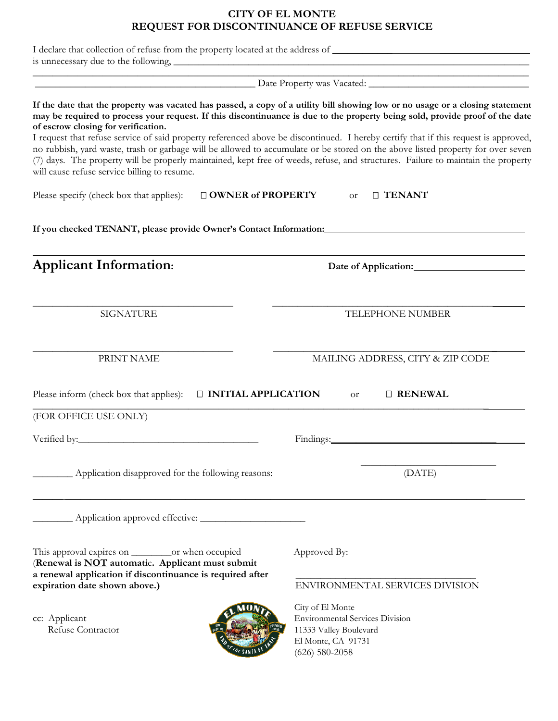## **CITY OF EL MONTE REQUEST FOR DISCONTINUANCE OF REFUSE SERVICE**

| I declare that collection of refuse from the property located at the address of                                                                                                                                                                                                                                                                                                                                                                                                                                                                                                                                                                                                                                                                                    |                                                                                                                                |  |
|--------------------------------------------------------------------------------------------------------------------------------------------------------------------------------------------------------------------------------------------------------------------------------------------------------------------------------------------------------------------------------------------------------------------------------------------------------------------------------------------------------------------------------------------------------------------------------------------------------------------------------------------------------------------------------------------------------------------------------------------------------------------|--------------------------------------------------------------------------------------------------------------------------------|--|
| <u> 1989 - Johann John Stone, markin fizik eta idazlea (</u>                                                                                                                                                                                                                                                                                                                                                                                                                                                                                                                                                                                                                                                                                                       |                                                                                                                                |  |
| If the date that the property was vacated has passed, a copy of a utility bill showing low or no usage or a closing statement<br>may be required to process your request. If this discontinuance is due to the property being sold, provide proof of the date<br>of escrow closing for verification.<br>I request that refuse service of said property referenced above be discontinued. I hereby certify that if this request is approved,<br>no rubbish, yard waste, trash or garbage will be allowed to accumulate or be stored on the above listed property for over seven<br>(7) days. The property will be properly maintained, kept free of weeds, refuse, and structures. Failure to maintain the property<br>will cause refuse service billing to resume. |                                                                                                                                |  |
| Please specify (check box that applies):<br>$\Box$ OWNER of PROPERTY                                                                                                                                                                                                                                                                                                                                                                                                                                                                                                                                                                                                                                                                                               | □ TENANT<br><b>or</b>                                                                                                          |  |
|                                                                                                                                                                                                                                                                                                                                                                                                                                                                                                                                                                                                                                                                                                                                                                    |                                                                                                                                |  |
| <b>Applicant Information:</b>                                                                                                                                                                                                                                                                                                                                                                                                                                                                                                                                                                                                                                                                                                                                      |                                                                                                                                |  |
| <b>SIGNATURE</b>                                                                                                                                                                                                                                                                                                                                                                                                                                                                                                                                                                                                                                                                                                                                                   | TELEPHONE NUMBER                                                                                                               |  |
| PRINT NAME                                                                                                                                                                                                                                                                                                                                                                                                                                                                                                                                                                                                                                                                                                                                                         | MAILING ADDRESS, CITY & ZIP CODE                                                                                               |  |
| Please inform (check box that applies):<br><b>D INITIAL APPLICATION</b>                                                                                                                                                                                                                                                                                                                                                                                                                                                                                                                                                                                                                                                                                            | <b>D RENEWAL</b><br><b>or</b>                                                                                                  |  |
| (FOR OFFICE USE ONLY)                                                                                                                                                                                                                                                                                                                                                                                                                                                                                                                                                                                                                                                                                                                                              |                                                                                                                                |  |
|                                                                                                                                                                                                                                                                                                                                                                                                                                                                                                                                                                                                                                                                                                                                                                    | Findings:                                                                                                                      |  |
| Application disapproved for the following reasons:                                                                                                                                                                                                                                                                                                                                                                                                                                                                                                                                                                                                                                                                                                                 | (DATE)                                                                                                                         |  |
|                                                                                                                                                                                                                                                                                                                                                                                                                                                                                                                                                                                                                                                                                                                                                                    |                                                                                                                                |  |
| (Renewal is <b>NOT</b> automatic. Applicant must submit<br>a renewal application if discontinuance is required after                                                                                                                                                                                                                                                                                                                                                                                                                                                                                                                                                                                                                                               | Approved By:                                                                                                                   |  |
| expiration date shown above.)                                                                                                                                                                                                                                                                                                                                                                                                                                                                                                                                                                                                                                                                                                                                      | ENVIRONMENTAL SERVICES DIVISION                                                                                                |  |
| cc: Applicant<br>Refuse Contractor                                                                                                                                                                                                                                                                                                                                                                                                                                                                                                                                                                                                                                                                                                                                 | City of El Monte<br><b>Environmental Services Division</b><br>11333 Valley Boulevard<br>El Monte, CA 91731<br>$(626)$ 580-2058 |  |